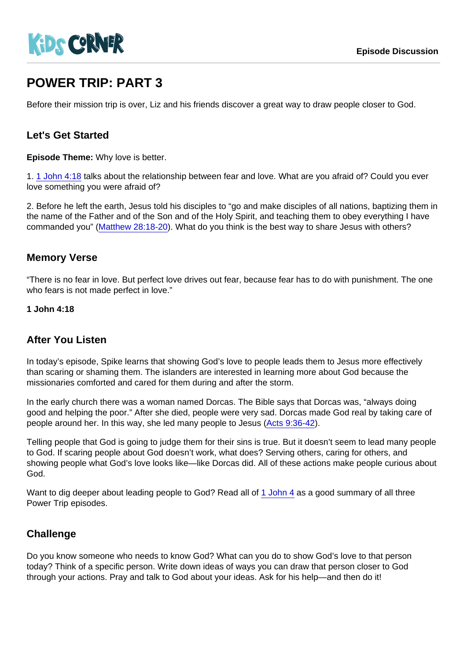# POWER TRIP: PART 3

Before their mission trip is over, Liz and his friends discover a great way to draw people closer to God.

### Let's Get Started

Episode Theme: Why love is better.

1. [1 John 4:18](https://www.biblegateway.com/passage/?search=1+John+4:18) talks about the relationship between fear and love. What are you afraid of? Could you ever love something you were afraid of?

2. Before he left the earth, Jesus told his disciples to "go and make disciples of all nations, baptizing them in the name of the Father and of the Son and of the Holy Spirit, and teaching them to obey everything I have commanded you" ([Matthew 28:18-20\)](https://www.biblegateway.com/passage/?search=Matthew+28:18-20). What do you think is the best way to share Jesus with others?

#### Memory Verse

"There is no fear in love. But perfect love drives out fear, because fear has to do with punishment. The one who fears is not made perfect in love."

1 John 4:18

### After You Listen

In today's episode, Spike learns that showing God's love to people leads them to Jesus more effectively than scaring or shaming them. The islanders are interested in learning more about God because the missionaries comforted and cared for them during and after the storm.

In the early church there was a woman named Dorcas. The Bible says that Dorcas was, "always doing good and helping the poor." After she died, people were very sad. Dorcas made God real by taking care of people around her. In this way, she led many people to Jesus ([Acts 9:36-42](https://www.biblegateway.com/passage/?search=Acts+9:36-42)).

Telling people that God is going to judge them for their sins is true. But it doesn't seem to lead many people to God. If scaring people about God doesn't work, what does? Serving others, caring for others, and showing people what God's love looks like—like Dorcas did. All of these actions make people curious about God.

Want to dig deeper about leading people to God? Read all of [1 John 4](https://www.biblegateway.com/passage/?search=1+John+4) as a good summary of all three Power Trip episodes.

#### **Challenge**

Do you know someone who needs to know God? What can you do to show God's love to that person today? Think of a specific person. Write down ideas of ways you can draw that person closer to God through your actions. Pray and talk to God about your ideas. Ask for his help—and then do it!